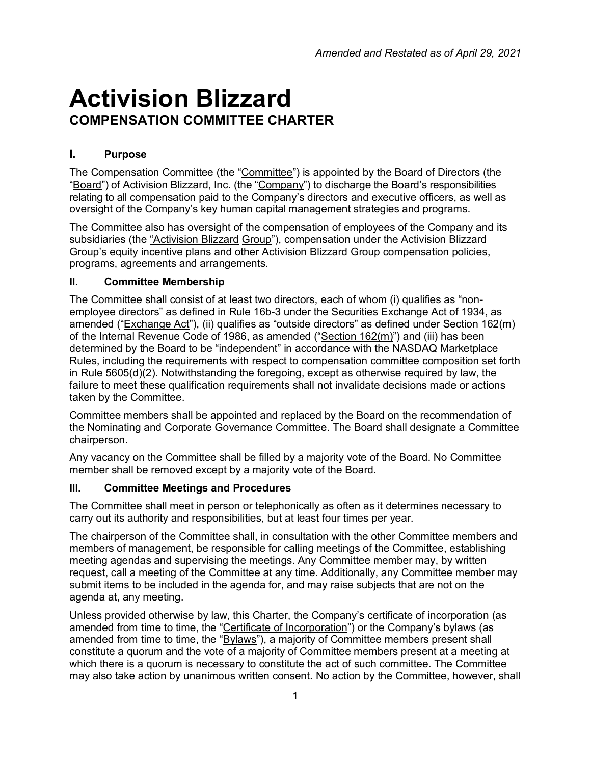# **Activision Blizzard COMPENSATION COMMITTEE CHARTER**

## **I. Purpose**

The Compensation Committee (the "Committee") is appointed by the Board of Directors (the "Board") of Activision Blizzard, Inc. (the "Company") to discharge the Board's responsibilities relating to all compensation paid to the Company's directors and executive officers, as well as oversight of the Company's key human capital management strategies and programs.

The Committee also has oversight of the compensation of employees of the Company and its subsidiaries (the "Activision Blizzard Group"), compensation under the Activision Blizzard Group's equity incentive plans and other Activision Blizzard Group compensation policies, programs, agreements and arrangements.

#### **II. Committee Membership**

The Committee shall consist of at least two directors, each of whom (i) qualifies as "nonemployee directors" as defined in Rule 16b-3 under the Securities Exchange Act of 1934, as amended ("Exchange Act"), (ii) qualifies as "outside directors" as defined under Section 162(m) of the Internal Revenue Code of 1986, as amended ("Section  $162(m)$ ") and (iii) has been determined by the Board to be "independent" in accordance with the NASDAQ Marketplace Rules, including the requirements with respect to compensation committee composition set forth in Rule 5605(d)(2). Notwithstanding the foregoing, except as otherwise required by law, the failure to meet these qualification requirements shall not invalidate decisions made or actions taken by the Committee.

Committee members shall be appointed and replaced by the Board on the recommendation of the Nominating and Corporate Governance Committee. The Board shall designate a Committee chairperson.

Any vacancy on the Committee shall be filled by a majority vote of the Board. No Committee member shall be removed except by a majority vote of the Board.

## **III. Committee Meetings and Procedures**

The Committee shall meet in person or telephonically as often as it determines necessary to carry out its authority and responsibilities, but at least four times per year.

The chairperson of the Committee shall, in consultation with the other Committee members and members of management, be responsible for calling meetings of the Committee, establishing meeting agendas and supervising the meetings. Any Committee member may, by written request, call a meeting of the Committee at any time. Additionally, any Committee member may submit items to be included in the agenda for, and may raise subjects that are not on the agenda at, any meeting.

Unless provided otherwise by law, this Charter, the Company's certificate of incorporation (as amended from time to time, the "Certificate of Incorporation") or the Company's bylaws (as amended from time to time, the "Bylaws"), a majority of Committee members present shall constitute a quorum and the vote of a majority of Committee members present at a meeting at which there is a quorum is necessary to constitute the act of such committee. The Committee may also take action by unanimous written consent. No action by the Committee, however, shall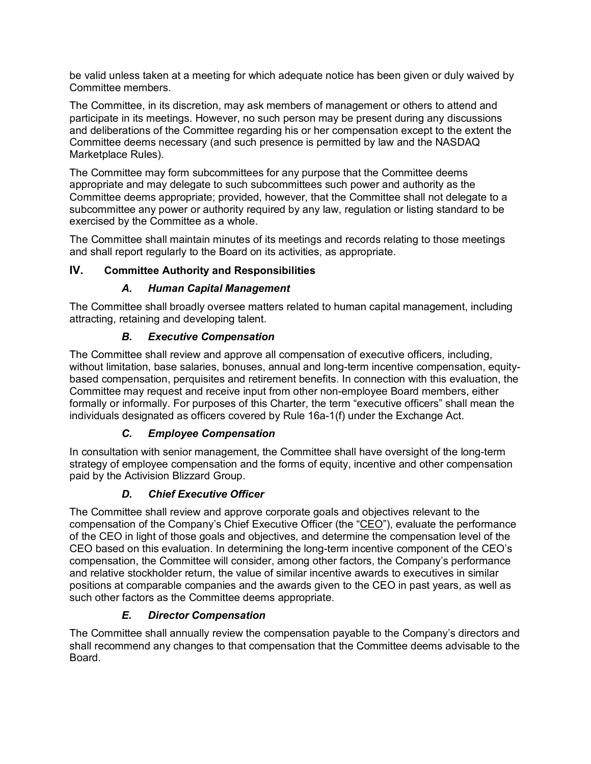be valid unless taken at a meeting for which adequate notice has been given or duly waived by Committee members.

The Committee, in its discretion, may ask members of management or others to attend and participate in its meetings. However, no such person may be present during any discussions and deliberations of the Committee regarding his or her compensation except to the extent the Committee deems necessary (and such presence is permitted by law and the NASDAQ Marketplace Rules).

The Committee may form subcommittees for any purpose that the Committee deems appropriate and may delegate to such subcommittees such power and authority as the Committee deems appropriate; provided, however, that the Committee shall not delegate to a subcommittee any power or authority required by any law, regulation or listing standard to be exercised by the Committee as a whole.

The Committee shall maintain minutes of its meetings and records relating to those meetings and shall report regularly to the Board on its activities, as appropriate.

## **IV. Committee Authority and Responsibilities**

## *A. Human Capital Management*

The Committee shall broadly oversee matters related to human capital management, including attracting, retaining and developing talent.

## *B. Executive Compensation*

The Committee shall review and approve all compensation of executive officers, including, without limitation, base salaries, bonuses, annual and long-term incentive compensation, equitybased compensation, perquisites and retirement benefits. In connection with this evaluation, the Committee may request and receive input from other non-employee Board members, either formally or informally. For purposes of this Charter, the term "executive officers" shall mean the individuals designated as officers covered by Rule 16a-1(f) under the Exchange Act.

## *C. Employee Compensation*

In consultation with senior management, the Committee shall have oversight of the long-term strategy of employee compensation and the forms of equity, incentive and other compensation paid by the Activision Blizzard Group.

## *D. Chief Executive Officer*

The Committee shall review and approve corporate goals and objectives relevant to the compensation of the Company's Chief Executive Officer (the "CEO"), evaluate the performance of the CEO in light of those goals and objectives, and determine the compensation level of the CEO based on this evaluation. In determining the long-term incentive component of the CEO's compensation, the Committee will consider, among other factors, the Company's performance and relative stockholder return, the value of similar incentive awards to executives in similar positions at comparable companies and the awards given to the CEO in past years, as well as such other factors as the Committee deems appropriate.

## *E. Director Compensation*

The Committee shall annually review the compensation payable to the Company's directors and shall recommend any changes to that compensation that the Committee deems advisable to the Board.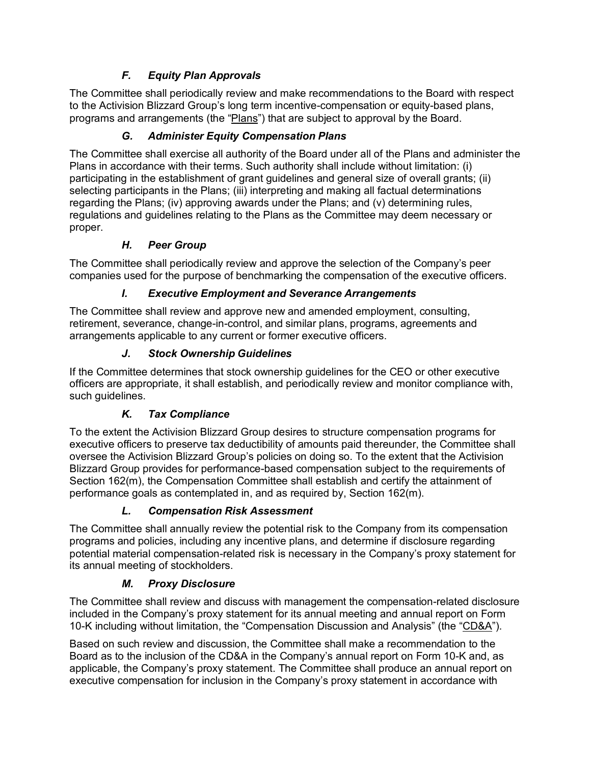# *F. Equity Plan Approvals*

The Committee shall periodically review and make recommendations to the Board with respect to the Activision Blizzard Group's long term incentive-compensation or equity-based plans, programs and arrangements (the "Plans") that are subject to approval by the Board.

# *G. Administer Equity Compensation Plans*

The Committee shall exercise all authority of the Board under all of the Plans and administer the Plans in accordance with their terms. Such authority shall include without limitation: (i) participating in the establishment of grant guidelines and general size of overall grants; (ii) selecting participants in the Plans; (iii) interpreting and making all factual determinations regarding the Plans; (iv) approving awards under the Plans; and (v) determining rules, regulations and guidelines relating to the Plans as the Committee may deem necessary or proper.

# *H. Peer Group*

The Committee shall periodically review and approve the selection of the Company's peer companies used for the purpose of benchmarking the compensation of the executive officers.

# *I. Executive Employment and Severance Arrangements*

The Committee shall review and approve new and amended employment, consulting, retirement, severance, change-in-control, and similar plans, programs, agreements and arrangements applicable to any current or former executive officers.

# *J. Stock Ownership Guidelines*

If the Committee determines that stock ownership guidelines for the CEO or other executive officers are appropriate, it shall establish, and periodically review and monitor compliance with, such guidelines.

## *K. Tax Compliance*

To the extent the Activision Blizzard Group desires to structure compensation programs for executive officers to preserve tax deductibility of amounts paid thereunder, the Committee shall oversee the Activision Blizzard Group's policies on doing so. To the extent that the Activision Blizzard Group provides for performance-based compensation subject to the requirements of Section 162(m), the Compensation Committee shall establish and certify the attainment of performance goals as contemplated in, and as required by, Section 162(m).

## *L. Compensation Risk Assessment*

The Committee shall annually review the potential risk to the Company from its compensation programs and policies, including any incentive plans, and determine if disclosure regarding potential material compensation-related risk is necessary in the Company's proxy statement for its annual meeting of stockholders.

# *M. Proxy Disclosure*

The Committee shall review and discuss with management the compensation-related disclosure included in the Company's proxy statement for its annual meeting and annual report on Form 10-K including without limitation, the "Compensation Discussion and Analysis" (the "CD&A").

Based on such review and discussion, the Committee shall make a recommendation to the Board as to the inclusion of the CD&A in the Company's annual report on Form 10-K and, as applicable, the Company's proxy statement. The Committee shall produce an annual report on executive compensation for inclusion in the Company's proxy statement in accordance with